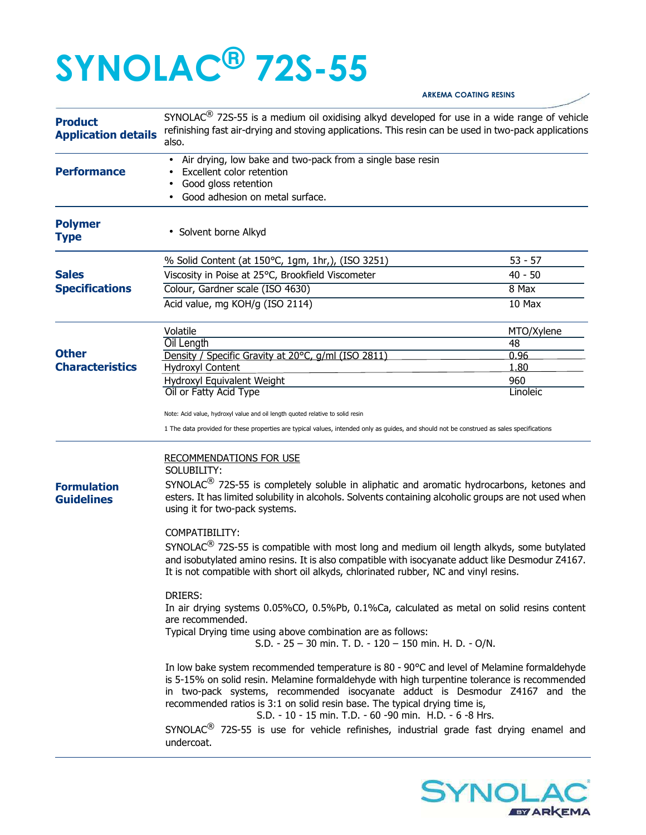## **SYNOLAC® 72S-55**

## **Product Application details** SYNOLAC<sup>®</sup> 72S-55 is a medium oil oxidising alkyd developed for use in a wide range of vehicle refinishing fast air-drying and stoving applications. This resin can be used in two-pack applications also. Air drying, low bake and two-pack from a single base resin **Performance** • Excellent color retention • Good gloss retention • Good adhesion on metal surface. **Polymer**  • Solvent borne Alkyd **Type** % Solid Content (at 150°C, 1gm, 1hr,), (ISO 3251) 53 - 57 **Sales Viscosity in Poise at 25°C, Brookfield Viscometer** 40 - 50 **Specifications Colour, Gardner scale (ISO 4630)** 8 Max Acid value, mg KOH/g (ISO 2114) 10 Max Volatile and the MTO/Xylene and the MTO/Xylene and the MTO/Xylene **Other Characteristics** Oil Length 48 Density / Specific Gravity at 20°C, g/ml (ISO 2811) 0.96 Hydroxyl Content 1.80 Hydroxyl Equivalent Weight 960 *Dil or Fatty Acid Type* Linoleic Linoleic Linoleic Linoleic Linoleic Linoleic Linoleic Linoleic Linoleic Linoleic Note: Acid value, hydroxyl value and oil length quoted relative to solid resin 1 The data provided for these properties are typical values, intended only as guides, and should not be construed as sales specifications **Formulation Guidelines**  RECOMMENDATIONS FOR USE SOLUBILITY:  $SYNOLAC<sup>(8)</sup>$  72S-55 is completely soluble in aliphatic and aromatic hydrocarbons, ketones and esters. It has limited solubility in alcohols. Solvents containing alcoholic groups are not used when using it for two-pack systems. COMPATIBILITY:  $SYNOLAC<sup>(8)</sup>$  72S-55 is compatible with most long and medium oil length alkyds, some butylated and isobutylated amino resins. It is also compatible with isocyanate adduct like Desmodur Z4167. It is not compatible with short oil alkyds, chlorinated rubber, NC and vinyl resins. DRIERS: In air drying systems 0.05%CO, 0.5%Pb, 0.1%Ca, calculated as metal on solid resins content are recommended. Typical Drying time using above combination are as follows: S.D. - 25 – 30 min. T. D. - 120 – 150 min. H. D. - O/N. In low bake system recommended temperature is 80 - 90°C and level of Melamine formaldehyde is 5-15% on solid resin. Melamine formaldehyde with high turpentine tolerance is recommended in two-pack systems, recommended isocyanate adduct is Desmodur Z4167 and the recommended ratios is 3:1 on solid resin base. The typical drying time is, S.D. - 10 - 15 min. T.D. - 60 -90 min. H.D. - 6 -8 Hrs.  $SYNOLAC<sup>(8)</sup>$  72S-55 is use for vehicle refinishes, industrial grade fast drying enamel and undercoat.



**ARKEMA COATING RESINS**